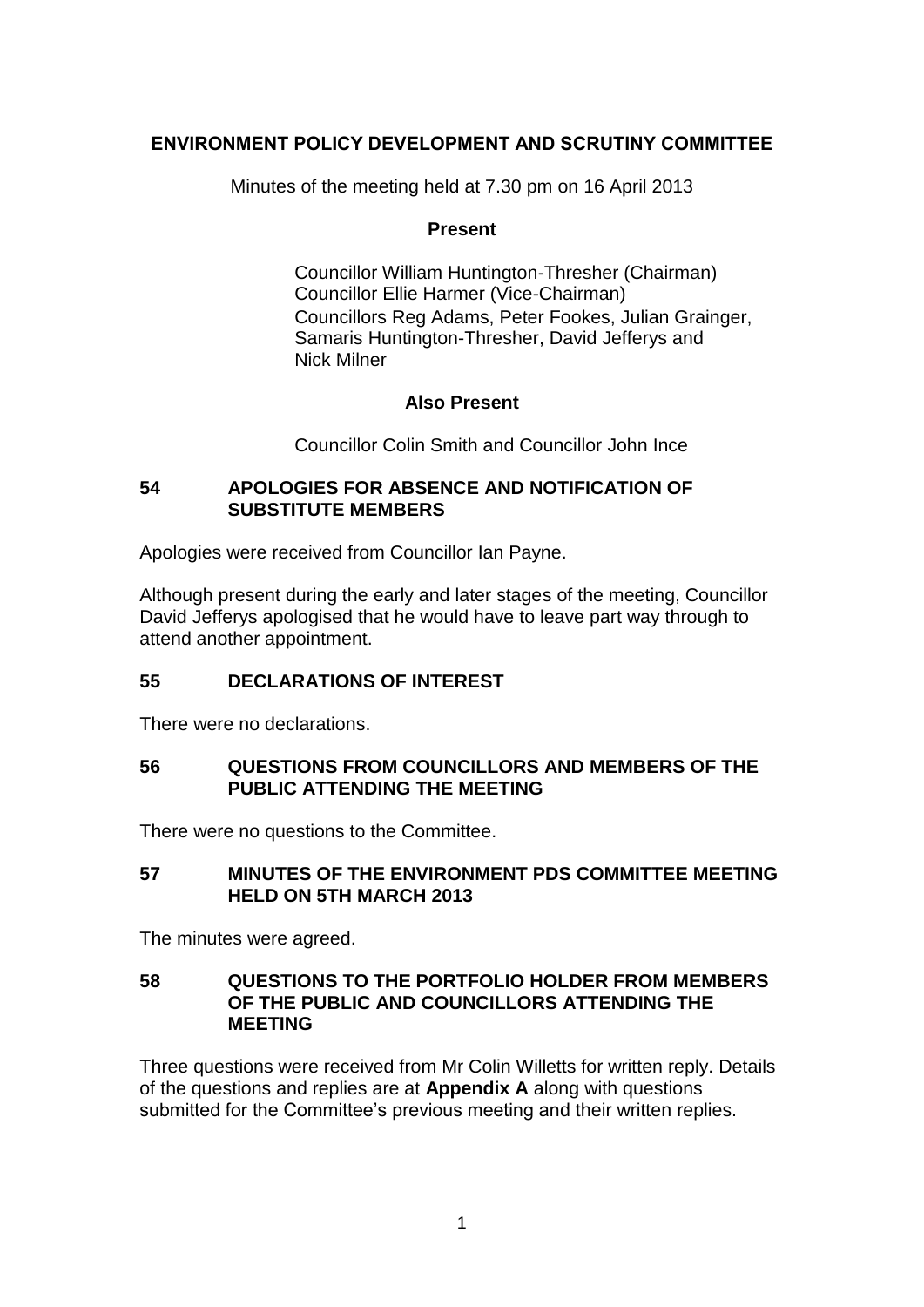### **ENVIRONMENT POLICY DEVELOPMENT AND SCRUTINY COMMITTEE**

Minutes of the meeting held at 7.30 pm on 16 April 2013

#### **Present**

Councillor William Huntington-Thresher (Chairman) Councillor Ellie Harmer (Vice-Chairman) Councillors Reg Adams, Peter Fookes, Julian Grainger, Samaris Huntington-Thresher, David Jefferys and Nick Milner

#### **Also Present**

Councillor Colin Smith and Councillor John Ince

#### **54 APOLOGIES FOR ABSENCE AND NOTIFICATION OF SUBSTITUTE MEMBERS**

Apologies were received from Councillor Ian Payne.

Although present during the early and later stages of the meeting, Councillor David Jefferys apologised that he would have to leave part way through to attend another appointment.

# **55 DECLARATIONS OF INTEREST**

There were no declarations.

#### **56 QUESTIONS FROM COUNCILLORS AND MEMBERS OF THE PUBLIC ATTENDING THE MEETING**

There were no questions to the Committee.

#### **57 MINUTES OF THE ENVIRONMENT PDS COMMITTEE MEETING HELD ON 5TH MARCH 2013**

The minutes were agreed.

#### **58 QUESTIONS TO THE PORTFOLIO HOLDER FROM MEMBERS OF THE PUBLIC AND COUNCILLORS ATTENDING THE MEETING**

Three questions were received from Mr Colin Willetts for written reply. Details of the questions and replies are at **Appendix A** along with questions submitted for the Committee's previous meeting and their written replies.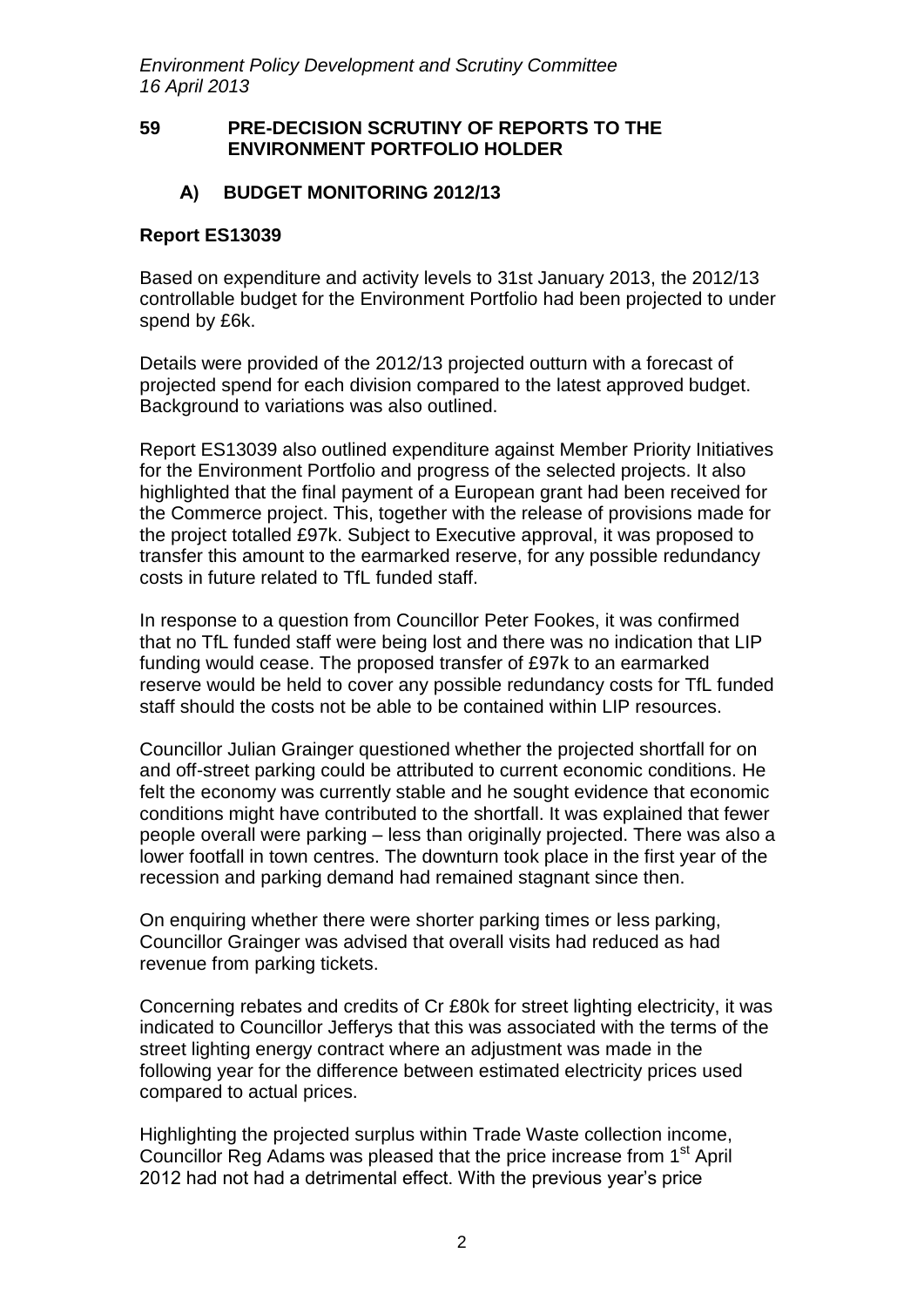#### **59 PRE-DECISION SCRUTINY OF REPORTS TO THE ENVIRONMENT PORTFOLIO HOLDER**

### **A) BUDGET MONITORING 2012/13**

#### **Report ES13039**

Based on expenditure and activity levels to 31st January 2013, the 2012/13 controllable budget for the Environment Portfolio had been projected to under spend by £6k.

Details were provided of the 2012/13 projected outturn with a forecast of projected spend for each division compared to the latest approved budget. Background to variations was also outlined.

Report ES13039 also outlined expenditure against Member Priority Initiatives for the Environment Portfolio and progress of the selected projects. It also highlighted that the final payment of a European grant had been received for the Commerce project. This, together with the release of provisions made for the project totalled £97k. Subject to Executive approval, it was proposed to transfer this amount to the earmarked reserve, for any possible redundancy costs in future related to TfL funded staff.

In response to a question from Councillor Peter Fookes, it was confirmed that no TfL funded staff were being lost and there was no indication that LIP funding would cease. The proposed transfer of £97k to an earmarked reserve would be held to cover any possible redundancy costs for TfL funded staff should the costs not be able to be contained within LIP resources.

Councillor Julian Grainger questioned whether the projected shortfall for on and off-street parking could be attributed to current economic conditions. He felt the economy was currently stable and he sought evidence that economic conditions might have contributed to the shortfall. It was explained that fewer people overall were parking – less than originally projected. There was also a lower footfall in town centres. The downturn took place in the first year of the recession and parking demand had remained stagnant since then.

On enquiring whether there were shorter parking times or less parking, Councillor Grainger was advised that overall visits had reduced as had revenue from parking tickets.

Concerning rebates and credits of Cr £80k for street lighting electricity, it was indicated to Councillor Jefferys that this was associated with the terms of the street lighting energy contract where an adjustment was made in the following year for the difference between estimated electricity prices used compared to actual prices.

Highlighting the projected surplus within Trade Waste collection income, Councillor Reg Adams was pleased that the price increase from 1<sup>st</sup> April 2012 had not had a detrimental effect. With the previous year's price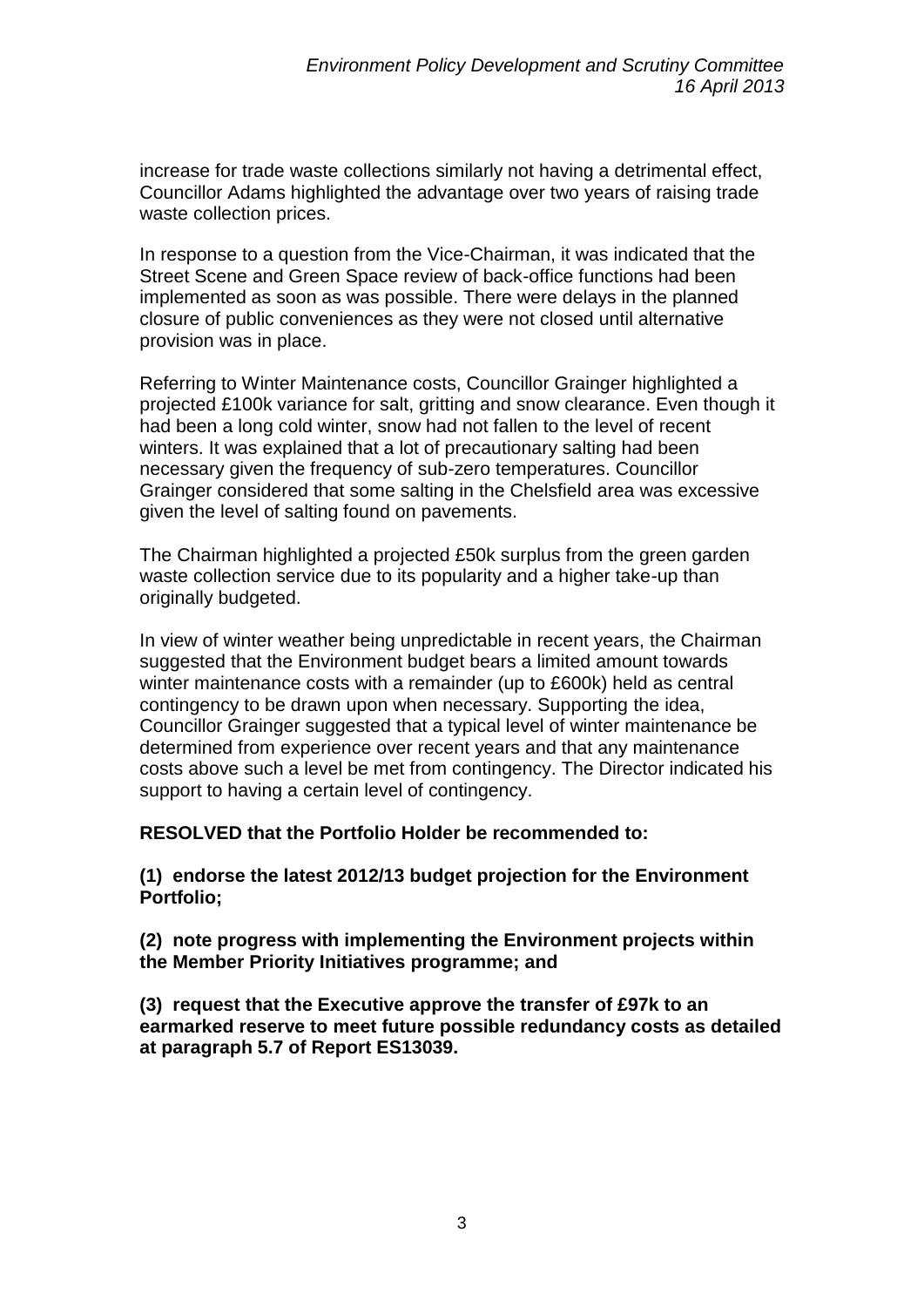increase for trade waste collections similarly not having a detrimental effect, Councillor Adams highlighted the advantage over two years of raising trade waste collection prices.

In response to a question from the Vice-Chairman, it was indicated that the Street Scene and Green Space review of back-office functions had been implemented as soon as was possible. There were delays in the planned closure of public conveniences as they were not closed until alternative provision was in place.

Referring to Winter Maintenance costs, Councillor Grainger highlighted a projected £100k variance for salt, gritting and snow clearance. Even though it had been a long cold winter, snow had not fallen to the level of recent winters. It was explained that a lot of precautionary salting had been necessary given the frequency of sub-zero temperatures. Councillor Grainger considered that some salting in the Chelsfield area was excessive given the level of salting found on pavements.

The Chairman highlighted a projected £50k surplus from the green garden waste collection service due to its popularity and a higher take-up than originally budgeted.

In view of winter weather being unpredictable in recent years, the Chairman suggested that the Environment budget bears a limited amount towards winter maintenance costs with a remainder (up to £600k) held as central contingency to be drawn upon when necessary. Supporting the idea, Councillor Grainger suggested that a typical level of winter maintenance be determined from experience over recent years and that any maintenance costs above such a level be met from contingency. The Director indicated his support to having a certain level of contingency.

**RESOLVED that the Portfolio Holder be recommended to:** 

**(1) endorse the latest 2012/13 budget projection for the Environment Portfolio;**

**(2) note progress with implementing the Environment projects within the Member Priority Initiatives programme; and**

**(3) request that the Executive approve the transfer of £97k to an earmarked reserve to meet future possible redundancy costs as detailed at paragraph 5.7 of Report ES13039.**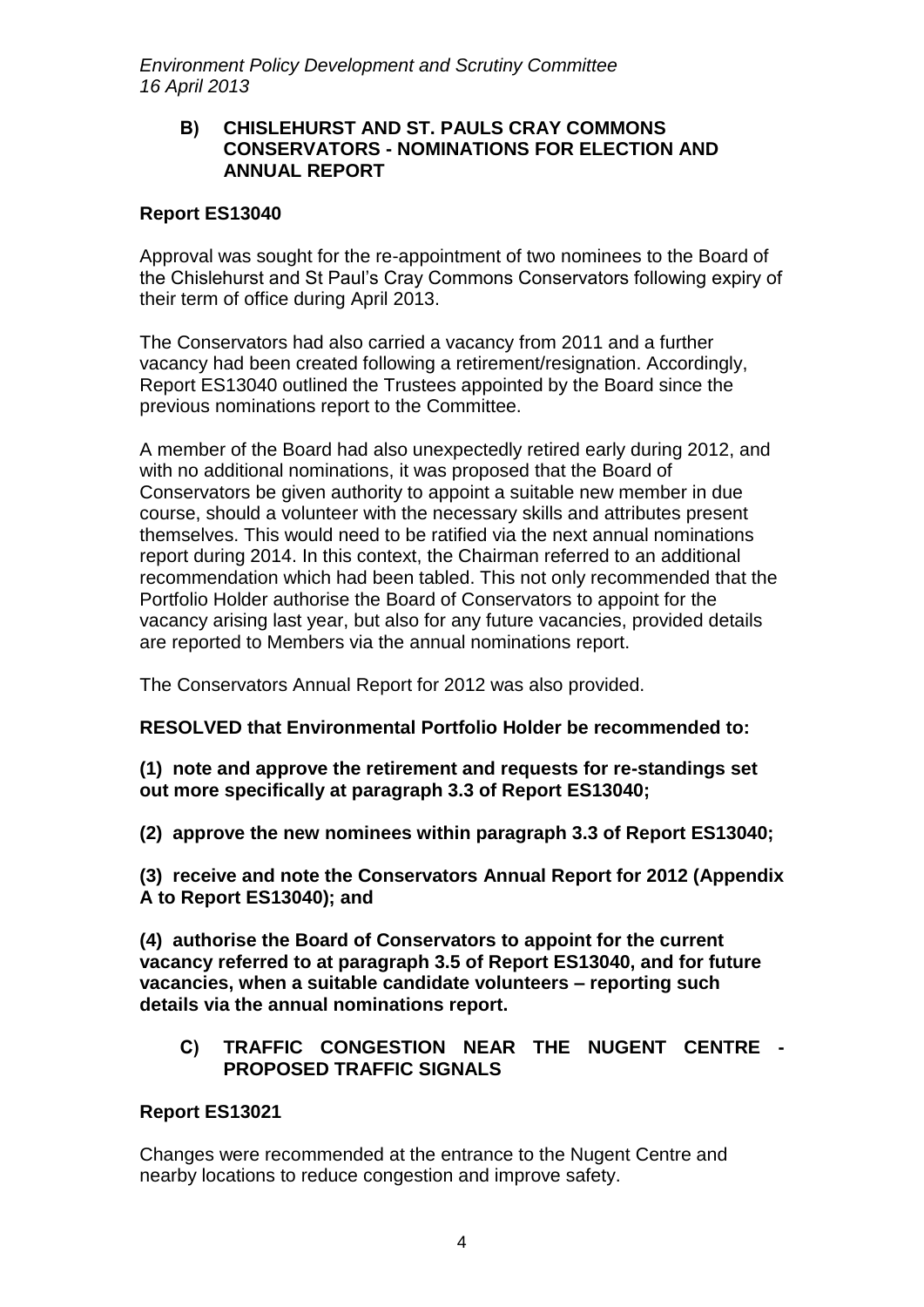#### **B) CHISLEHURST AND ST. PAULS CRAY COMMONS CONSERVATORS - NOMINATIONS FOR ELECTION AND ANNUAL REPORT**

### **Report ES13040**

Approval was sought for the re-appointment of two nominees to the Board of the Chislehurst and St Paul's Cray Commons Conservators following expiry of their term of office during April 2013.

The Conservators had also carried a vacancy from 2011 and a further vacancy had been created following a retirement/resignation. Accordingly, Report ES13040 outlined the Trustees appointed by the Board since the previous nominations report to the Committee.

A member of the Board had also unexpectedly retired early during 2012, and with no additional nominations, it was proposed that the Board of Conservators be given authority to appoint a suitable new member in due course, should a volunteer with the necessary skills and attributes present themselves. This would need to be ratified via the next annual nominations report during 2014. In this context, the Chairman referred to an additional recommendation which had been tabled. This not only recommended that the Portfolio Holder authorise the Board of Conservators to appoint for the vacancy arising last year, but also for any future vacancies, provided details are reported to Members via the annual nominations report.

The Conservators Annual Report for 2012 was also provided.

**RESOLVED that Environmental Portfolio Holder be recommended to:**

**(1) note and approve the retirement and requests for re-standings set out more specifically at paragraph 3.3 of Report ES13040;** 

**(2) approve the new nominees within paragraph 3.3 of Report ES13040;** 

**(3) receive and note the Conservators Annual Report for 2012 (Appendix A to Report ES13040); and** 

**(4) authorise the Board of Conservators to appoint for the current vacancy referred to at paragraph 3.5 of Report ES13040, and for future vacancies, when a suitable candidate volunteers – reporting such details via the annual nominations report.**

### **C) TRAFFIC CONGESTION NEAR THE NUGENT CENTRE - PROPOSED TRAFFIC SIGNALS**

#### **Report ES13021**

Changes were recommended at the entrance to the Nugent Centre and nearby locations to reduce congestion and improve safety.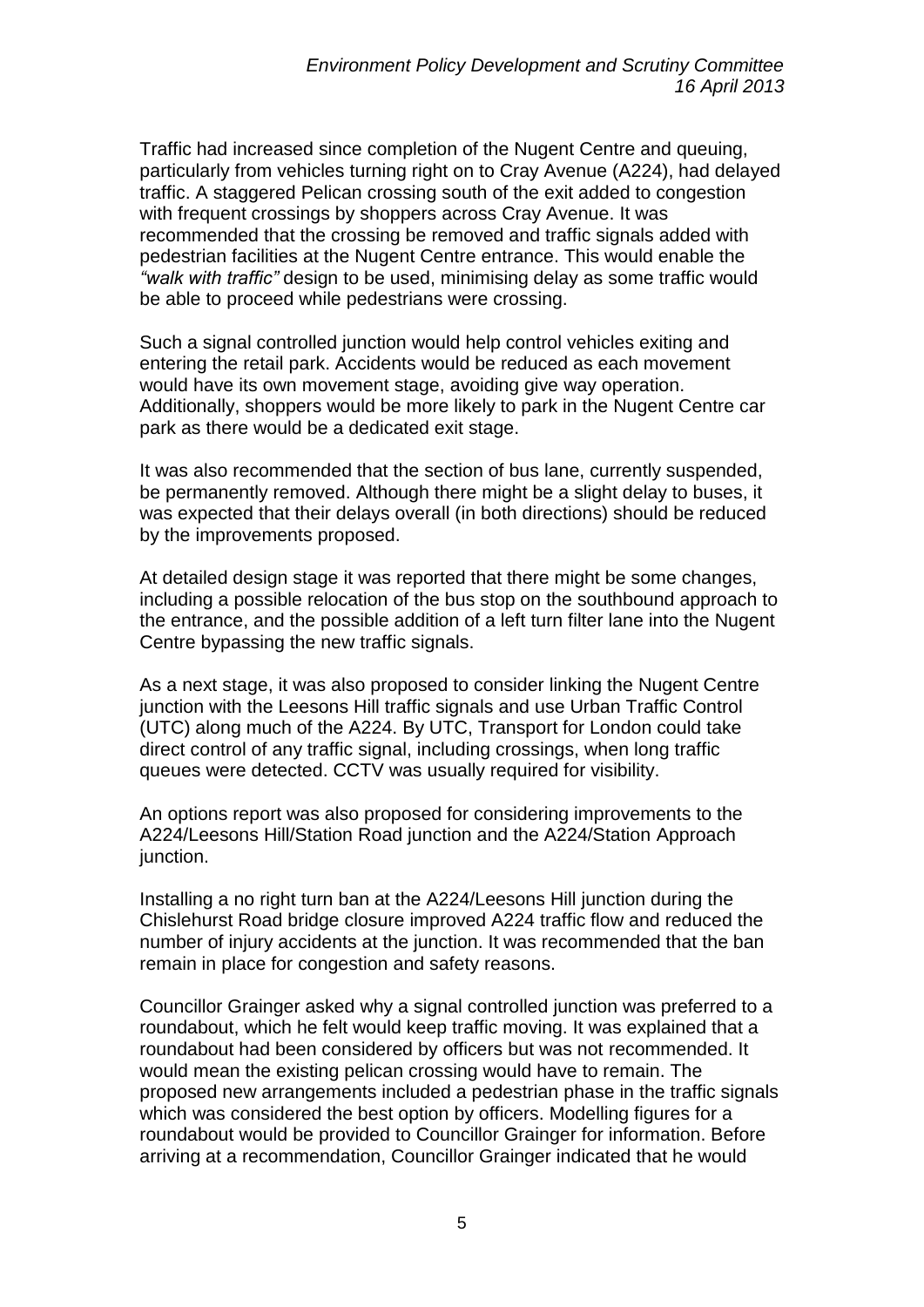Traffic had increased since completion of the Nugent Centre and queuing, particularly from vehicles turning right on to Cray Avenue (A224), had delayed traffic. A staggered Pelican crossing south of the exit added to congestion with frequent crossings by shoppers across Cray Avenue. It was recommended that the crossing be removed and traffic signals added with pedestrian facilities at the Nugent Centre entrance. This would enable the *"walk with traffic"* design to be used, minimising delay as some traffic would be able to proceed while pedestrians were crossing.

Such a signal controlled junction would help control vehicles exiting and entering the retail park. Accidents would be reduced as each movement would have its own movement stage, avoiding give way operation. Additionally, shoppers would be more likely to park in the Nugent Centre car park as there would be a dedicated exit stage.

It was also recommended that the section of bus lane, currently suspended, be permanently removed. Although there might be a slight delay to buses, it was expected that their delays overall (in both directions) should be reduced by the improvements proposed.

At detailed design stage it was reported that there might be some changes, including a possible relocation of the bus stop on the southbound approach to the entrance, and the possible addition of a left turn filter lane into the Nugent Centre bypassing the new traffic signals.

As a next stage, it was also proposed to consider linking the Nugent Centre junction with the Leesons Hill traffic signals and use Urban Traffic Control (UTC) along much of the A224. By UTC, Transport for London could take direct control of any traffic signal, including crossings, when long traffic queues were detected. CCTV was usually required for visibility.

An options report was also proposed for considering improvements to the A224/Leesons Hill/Station Road junction and the A224/Station Approach junction.

Installing a no right turn ban at the A224/Leesons Hill junction during the Chislehurst Road bridge closure improved A224 traffic flow and reduced the number of injury accidents at the junction. It was recommended that the ban remain in place for congestion and safety reasons.

Councillor Grainger asked why a signal controlled junction was preferred to a roundabout, which he felt would keep traffic moving. It was explained that a roundabout had been considered by officers but was not recommended. It would mean the existing pelican crossing would have to remain. The proposed new arrangements included a pedestrian phase in the traffic signals which was considered the best option by officers. Modelling figures for a roundabout would be provided to Councillor Grainger for information. Before arriving at a recommendation, Councillor Grainger indicated that he would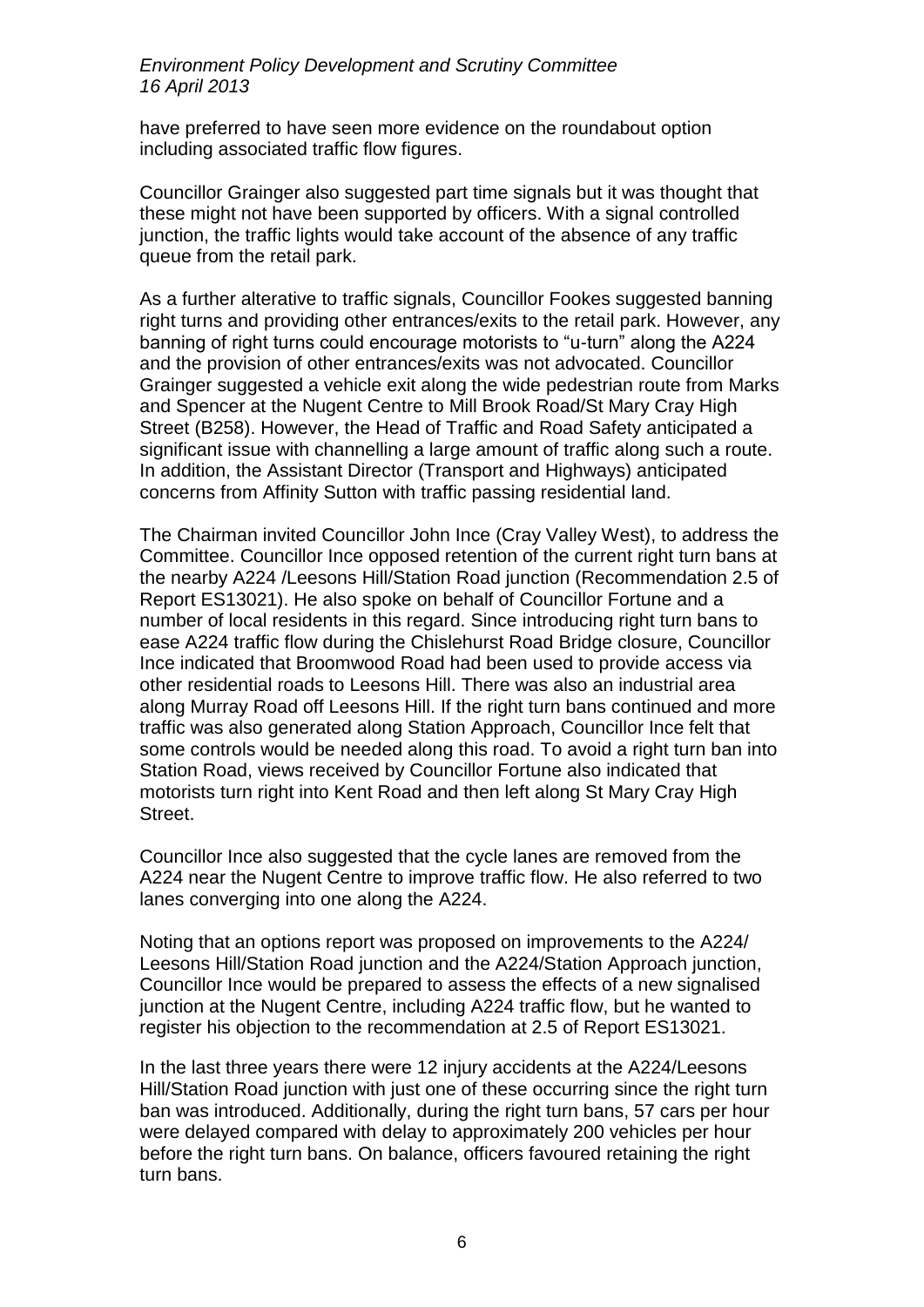have preferred to have seen more evidence on the roundabout option including associated traffic flow figures.

Councillor Grainger also suggested part time signals but it was thought that these might not have been supported by officers. With a signal controlled junction, the traffic lights would take account of the absence of any traffic queue from the retail park.

As a further alterative to traffic signals, Councillor Fookes suggested banning right turns and providing other entrances/exits to the retail park. However, any banning of right turns could encourage motorists to "u-turn" along the A224 and the provision of other entrances/exits was not advocated. Councillor Grainger suggested a vehicle exit along the wide pedestrian route from Marks and Spencer at the Nugent Centre to Mill Brook Road/St Mary Cray High Street (B258). However, the Head of Traffic and Road Safety anticipated a significant issue with channelling a large amount of traffic along such a route. In addition, the Assistant Director (Transport and Highways) anticipated concerns from Affinity Sutton with traffic passing residential land.

The Chairman invited Councillor John Ince (Cray Valley West), to address the Committee. Councillor Ince opposed retention of the current right turn bans at the nearby A224 /Leesons Hill/Station Road junction (Recommendation 2.5 of Report ES13021). He also spoke on behalf of Councillor Fortune and a number of local residents in this regard. Since introducing right turn bans to ease A224 traffic flow during the Chislehurst Road Bridge closure, Councillor Ince indicated that Broomwood Road had been used to provide access via other residential roads to Leesons Hill. There was also an industrial area along Murray Road off Leesons Hill. If the right turn bans continued and more traffic was also generated along Station Approach, Councillor Ince felt that some controls would be needed along this road. To avoid a right turn ban into Station Road, views received by Councillor Fortune also indicated that motorists turn right into Kent Road and then left along St Mary Cray High Street.

Councillor Ince also suggested that the cycle lanes are removed from the A224 near the Nugent Centre to improve traffic flow. He also referred to two lanes converging into one along the A224.

Noting that an options report was proposed on improvements to the A224/ Leesons Hill/Station Road junction and the A224/Station Approach junction, Councillor Ince would be prepared to assess the effects of a new signalised junction at the Nugent Centre, including A224 traffic flow, but he wanted to register his objection to the recommendation at 2.5 of Report ES13021.

In the last three years there were 12 injury accidents at the A224/Leesons Hill/Station Road junction with just one of these occurring since the right turn ban was introduced. Additionally, during the right turn bans, 57 cars per hour were delayed compared with delay to approximately 200 vehicles per hour before the right turn bans. On balance, officers favoured retaining the right turn bans.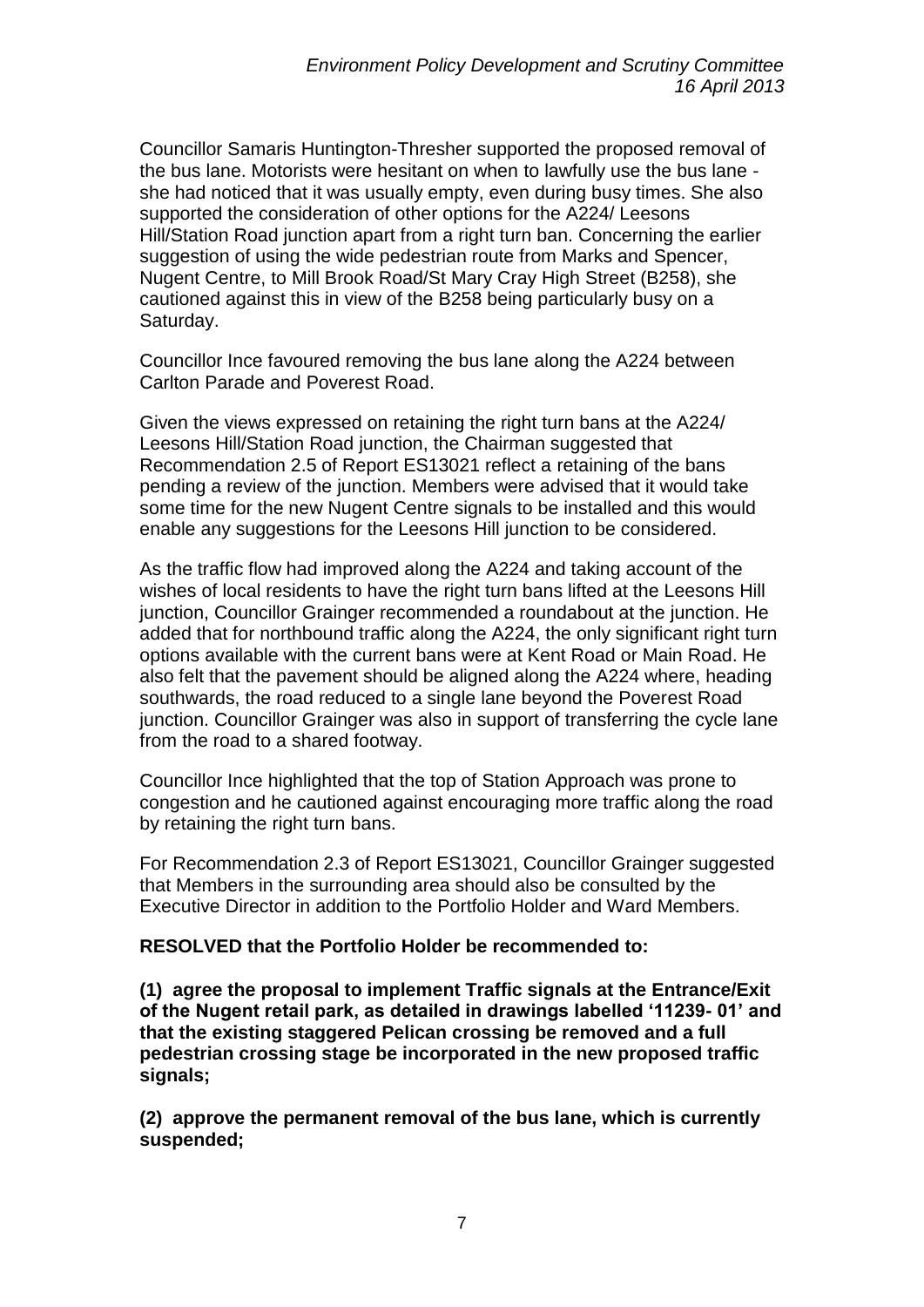Councillor Samaris Huntington-Thresher supported the proposed removal of the bus lane. Motorists were hesitant on when to lawfully use the bus lane she had noticed that it was usually empty, even during busy times. She also supported the consideration of other options for the A224/ Leesons Hill/Station Road junction apart from a right turn ban. Concerning the earlier suggestion of using the wide pedestrian route from Marks and Spencer, Nugent Centre, to Mill Brook Road/St Mary Cray High Street (B258), she cautioned against this in view of the B258 being particularly busy on a Saturday.

Councillor Ince favoured removing the bus lane along the A224 between Carlton Parade and Poverest Road.

Given the views expressed on retaining the right turn bans at the A224/ Leesons Hill/Station Road junction, the Chairman suggested that Recommendation 2.5 of Report ES13021 reflect a retaining of the bans pending a review of the junction. Members were advised that it would take some time for the new Nugent Centre signals to be installed and this would enable any suggestions for the Leesons Hill junction to be considered.

As the traffic flow had improved along the A224 and taking account of the wishes of local residents to have the right turn bans lifted at the Leesons Hill junction, Councillor Grainger recommended a roundabout at the junction. He added that for northbound traffic along the A224, the only significant right turn options available with the current bans were at Kent Road or Main Road. He also felt that the pavement should be aligned along the A224 where, heading southwards, the road reduced to a single lane beyond the Poverest Road junction. Councillor Grainger was also in support of transferring the cycle lane from the road to a shared footway.

Councillor Ince highlighted that the top of Station Approach was prone to congestion and he cautioned against encouraging more traffic along the road by retaining the right turn bans.

For Recommendation 2.3 of Report ES13021, Councillor Grainger suggested that Members in the surrounding area should also be consulted by the Executive Director in addition to the Portfolio Holder and Ward Members.

**RESOLVED that the Portfolio Holder be recommended to:**

**(1) agree the proposal to implement Traffic signals at the Entrance/Exit of the Nugent retail park, as detailed in drawings labelled '11239- 01' and that the existing staggered Pelican crossing be removed and a full pedestrian crossing stage be incorporated in the new proposed traffic signals;**

**(2) approve the permanent removal of the bus lane, which is currently suspended;**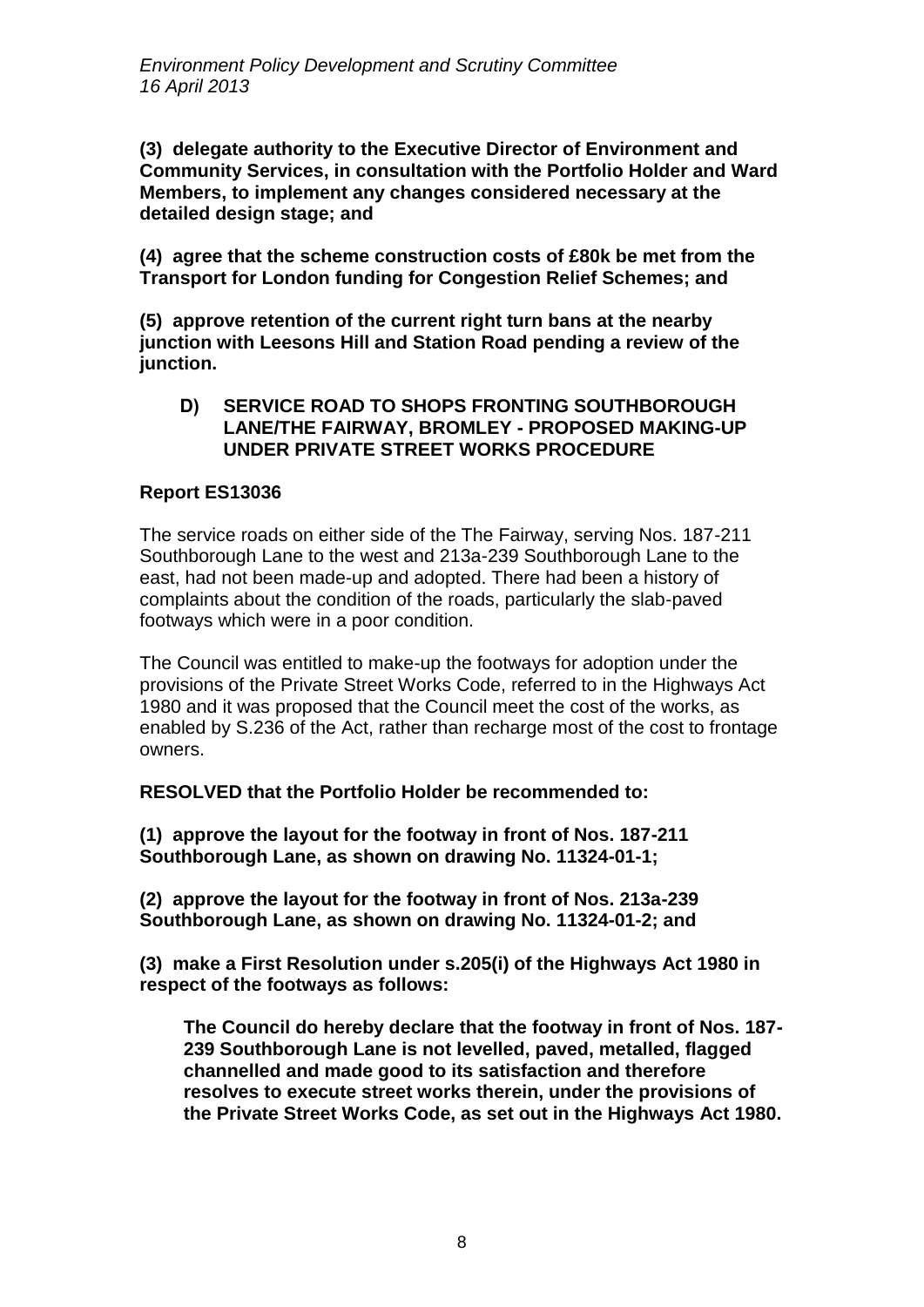**(3) delegate authority to the Executive Director of Environment and Community Services, in consultation with the Portfolio Holder and Ward Members, to implement any changes considered necessary at the detailed design stage; and**

**(4) agree that the scheme construction costs of £80k be met from the Transport for London funding for Congestion Relief Schemes; and** 

**(5) approve retention of the current right turn bans at the nearby junction with Leesons Hill and Station Road pending a review of the junction.**

#### **D) SERVICE ROAD TO SHOPS FRONTING SOUTHBOROUGH LANE/THE FAIRWAY, BROMLEY - PROPOSED MAKING-UP UNDER PRIVATE STREET WORKS PROCEDURE**

### **Report ES13036**

The service roads on either side of the The Fairway, serving Nos. 187-211 Southborough Lane to the west and 213a-239 Southborough Lane to the east, had not been made-up and adopted. There had been a history of complaints about the condition of the roads, particularly the slab-paved footways which were in a poor condition.

The Council was entitled to make-up the footways for adoption under the provisions of the Private Street Works Code, referred to in the Highways Act 1980 and it was proposed that the Council meet the cost of the works, as enabled by S.236 of the Act, rather than recharge most of the cost to frontage owners.

**RESOLVED that the Portfolio Holder be recommended to:**

**(1) approve the layout for the footway in front of Nos. 187-211 Southborough Lane, as shown on drawing No. 11324-01-1;** 

**(2) approve the layout for the footway in front of Nos. 213a-239 Southborough Lane, as shown on drawing No. 11324-01-2; and** 

**(3) make a First Resolution under s.205(i) of the Highways Act 1980 in respect of the footways as follows:** 

**The Council do hereby declare that the footway in front of Nos. 187- 239 Southborough Lane is not levelled, paved, metalled, flagged channelled and made good to its satisfaction and therefore resolves to execute street works therein, under the provisions of the Private Street Works Code, as set out in the Highways Act 1980.**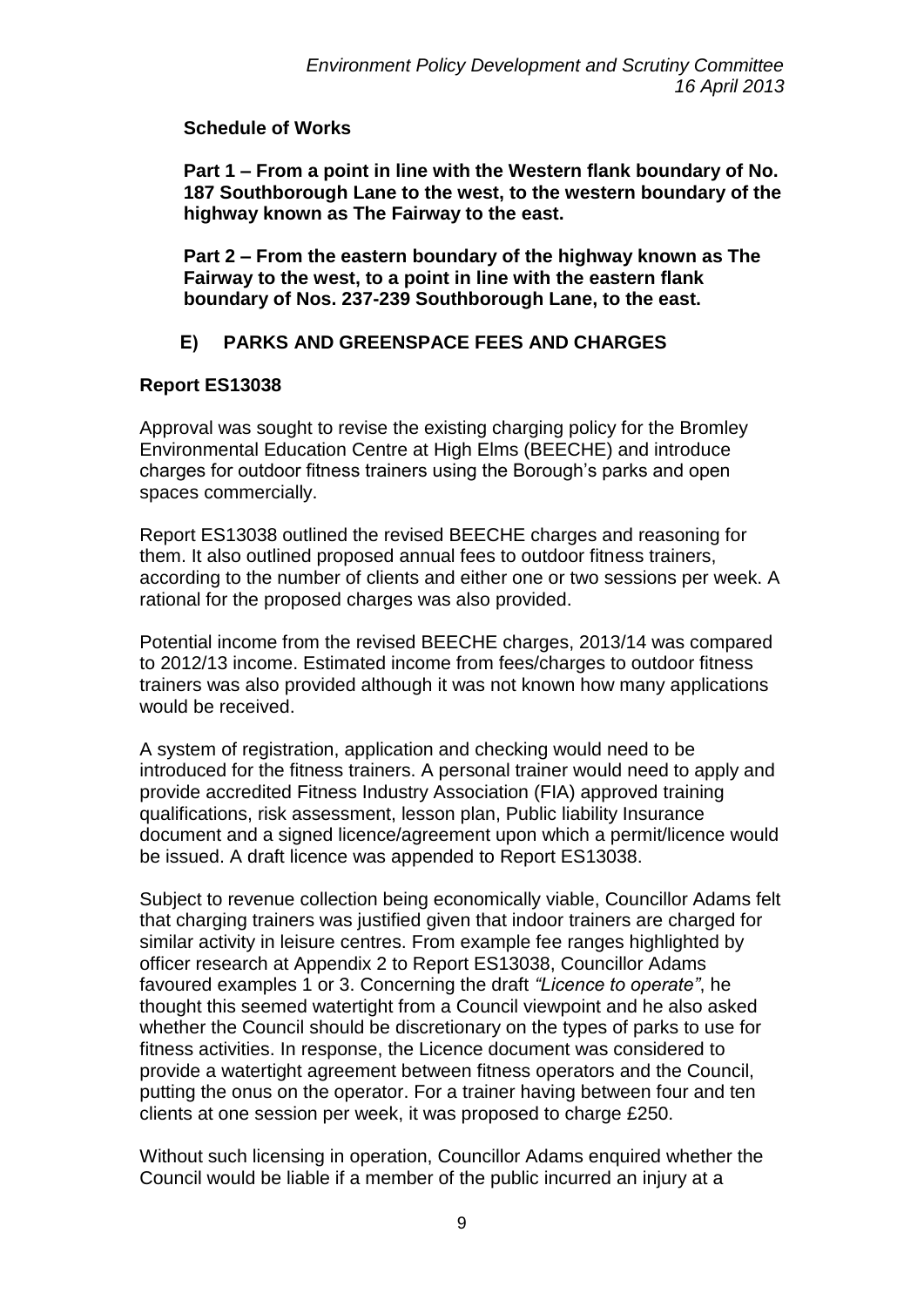# **Schedule of Works**

**Part 1 – From a point in line with the Western flank boundary of No. 187 Southborough Lane to the west, to the western boundary of the highway known as The Fairway to the east.** 

**Part 2 – From the eastern boundary of the highway known as The Fairway to the west, to a point in line with the eastern flank boundary of Nos. 237-239 Southborough Lane, to the east.** 

# **E) PARKS AND GREENSPACE FEES AND CHARGES**

# **Report ES13038**

Approval was sought to revise the existing charging policy for the Bromley Environmental Education Centre at High Elms (BEECHE) and introduce charges for outdoor fitness trainers using the Borough's parks and open spaces commercially.

Report ES13038 outlined the revised BEECHE charges and reasoning for them. It also outlined proposed annual fees to outdoor fitness trainers, according to the number of clients and either one or two sessions per week. A rational for the proposed charges was also provided.

Potential income from the revised BEECHE charges, 2013/14 was compared to 2012/13 income. Estimated income from fees/charges to outdoor fitness trainers was also provided although it was not known how many applications would be received.

A system of registration, application and checking would need to be introduced for the fitness trainers. A personal trainer would need to apply and provide accredited Fitness Industry Association (FIA) approved training qualifications, risk assessment, lesson plan, Public liability Insurance document and a signed licence/agreement upon which a permit/licence would be issued. A draft licence was appended to Report ES13038.

Subject to revenue collection being economically viable, Councillor Adams felt that charging trainers was justified given that indoor trainers are charged for similar activity in leisure centres. From example fee ranges highlighted by officer research at Appendix 2 to Report ES13038, Councillor Adams favoured examples 1 or 3. Concerning the draft *"Licence to operate"*, he thought this seemed watertight from a Council viewpoint and he also asked whether the Council should be discretionary on the types of parks to use for fitness activities. In response, the Licence document was considered to provide a watertight agreement between fitness operators and the Council, putting the onus on the operator. For a trainer having between four and ten clients at one session per week, it was proposed to charge £250.

Without such licensing in operation, Councillor Adams enquired whether the Council would be liable if a member of the public incurred an injury at a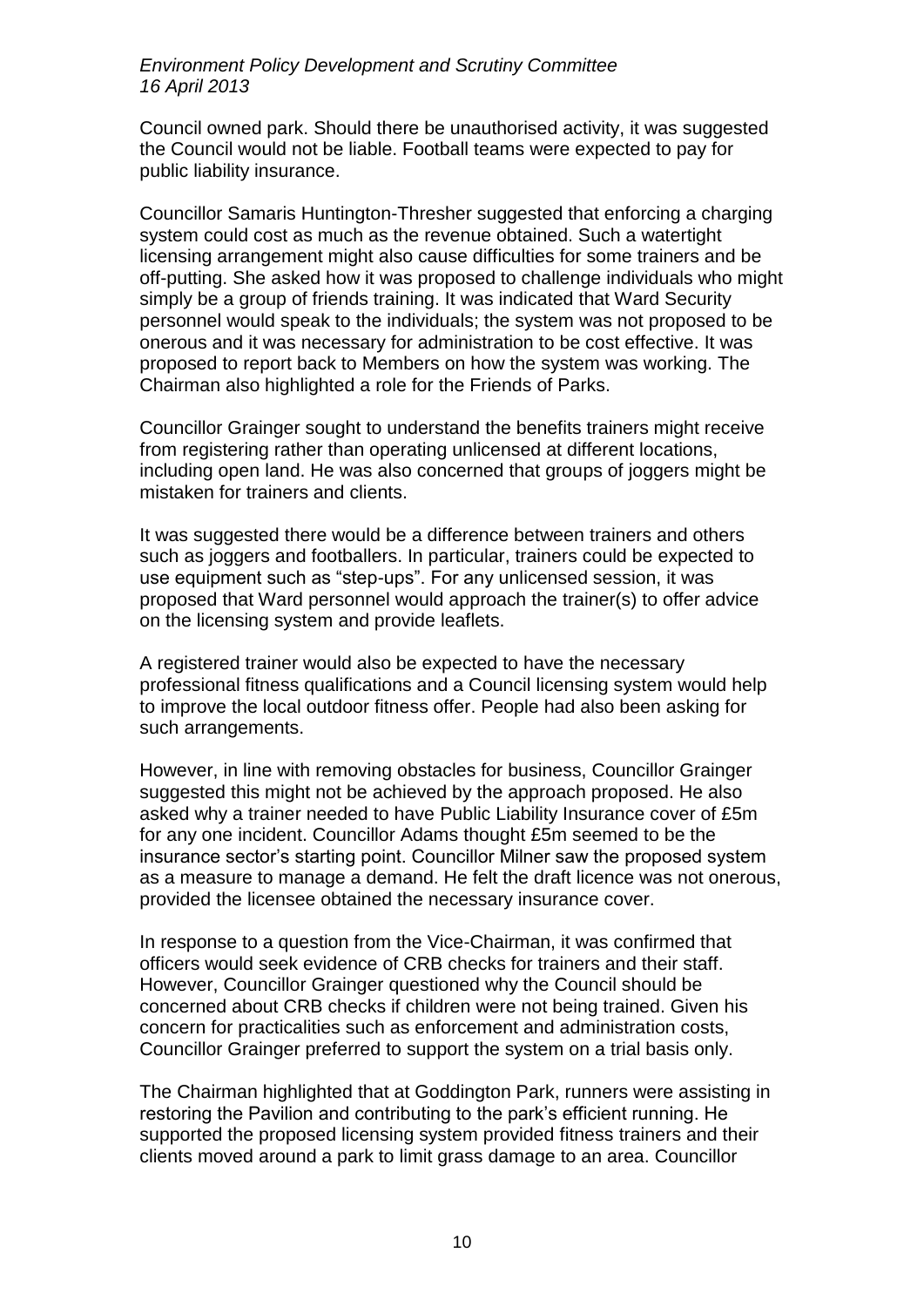Council owned park. Should there be unauthorised activity, it was suggested the Council would not be liable. Football teams were expected to pay for public liability insurance.

Councillor Samaris Huntington-Thresher suggested that enforcing a charging system could cost as much as the revenue obtained. Such a watertight licensing arrangement might also cause difficulties for some trainers and be off-putting. She asked how it was proposed to challenge individuals who might simply be a group of friends training. It was indicated that Ward Security personnel would speak to the individuals; the system was not proposed to be onerous and it was necessary for administration to be cost effective. It was proposed to report back to Members on how the system was working. The Chairman also highlighted a role for the Friends of Parks.

Councillor Grainger sought to understand the benefits trainers might receive from registering rather than operating unlicensed at different locations, including open land. He was also concerned that groups of joggers might be mistaken for trainers and clients.

It was suggested there would be a difference between trainers and others such as joggers and footballers. In particular, trainers could be expected to use equipment such as "step-ups". For any unlicensed session, it was proposed that Ward personnel would approach the trainer(s) to offer advice on the licensing system and provide leaflets.

A registered trainer would also be expected to have the necessary professional fitness qualifications and a Council licensing system would help to improve the local outdoor fitness offer. People had also been asking for such arrangements.

However, in line with removing obstacles for business, Councillor Grainger suggested this might not be achieved by the approach proposed. He also asked why a trainer needed to have Public Liability Insurance cover of £5m for any one incident. Councillor Adams thought £5m seemed to be the insurance sector's starting point. Councillor Milner saw the proposed system as a measure to manage a demand. He felt the draft licence was not onerous, provided the licensee obtained the necessary insurance cover.

In response to a question from the Vice-Chairman, it was confirmed that officers would seek evidence of CRB checks for trainers and their staff. However, Councillor Grainger questioned why the Council should be concerned about CRB checks if children were not being trained. Given his concern for practicalities such as enforcement and administration costs, Councillor Grainger preferred to support the system on a trial basis only.

The Chairman highlighted that at Goddington Park, runners were assisting in restoring the Pavilion and contributing to the park's efficient running. He supported the proposed licensing system provided fitness trainers and their clients moved around a park to limit grass damage to an area. Councillor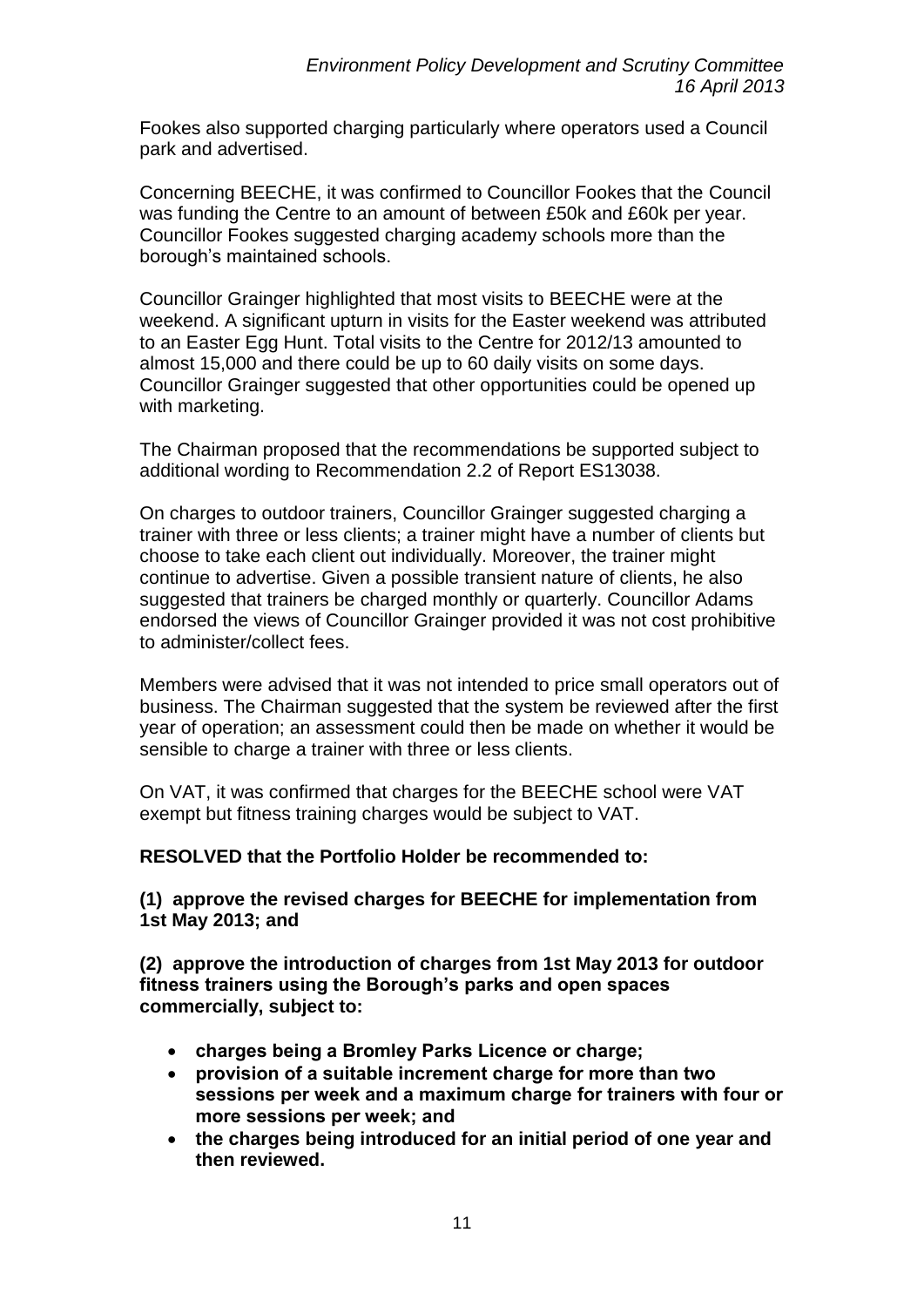Fookes also supported charging particularly where operators used a Council park and advertised.

Concerning BEECHE, it was confirmed to Councillor Fookes that the Council was funding the Centre to an amount of between £50k and £60k per year. Councillor Fookes suggested charging academy schools more than the borough's maintained schools.

Councillor Grainger highlighted that most visits to BEECHE were at the weekend. A significant upturn in visits for the Easter weekend was attributed to an Easter Egg Hunt. Total visits to the Centre for 2012/13 amounted to almost 15,000 and there could be up to 60 daily visits on some days. Councillor Grainger suggested that other opportunities could be opened up with marketing.

The Chairman proposed that the recommendations be supported subject to additional wording to Recommendation 2.2 of Report ES13038.

On charges to outdoor trainers, Councillor Grainger suggested charging a trainer with three or less clients; a trainer might have a number of clients but choose to take each client out individually. Moreover, the trainer might continue to advertise. Given a possible transient nature of clients, he also suggested that trainers be charged monthly or quarterly. Councillor Adams endorsed the views of Councillor Grainger provided it was not cost prohibitive to administer/collect fees.

Members were advised that it was not intended to price small operators out of business. The Chairman suggested that the system be reviewed after the first year of operation; an assessment could then be made on whether it would be sensible to charge a trainer with three or less clients.

On VAT, it was confirmed that charges for the BEECHE school were VAT exempt but fitness training charges would be subject to VAT.

# **RESOLVED that the Portfolio Holder be recommended to:**

**(1) approve the revised charges for BEECHE for implementation from 1st May 2013; and**

**(2) approve the introduction of charges from 1st May 2013 for outdoor fitness trainers using the Borough's parks and open spaces commercially, subject to:**

- **charges being a Bromley Parks Licence or charge;**
- **provision of a suitable increment charge for more than two sessions per week and a maximum charge for trainers with four or more sessions per week; and**
- **the charges being introduced for an initial period of one year and then reviewed.**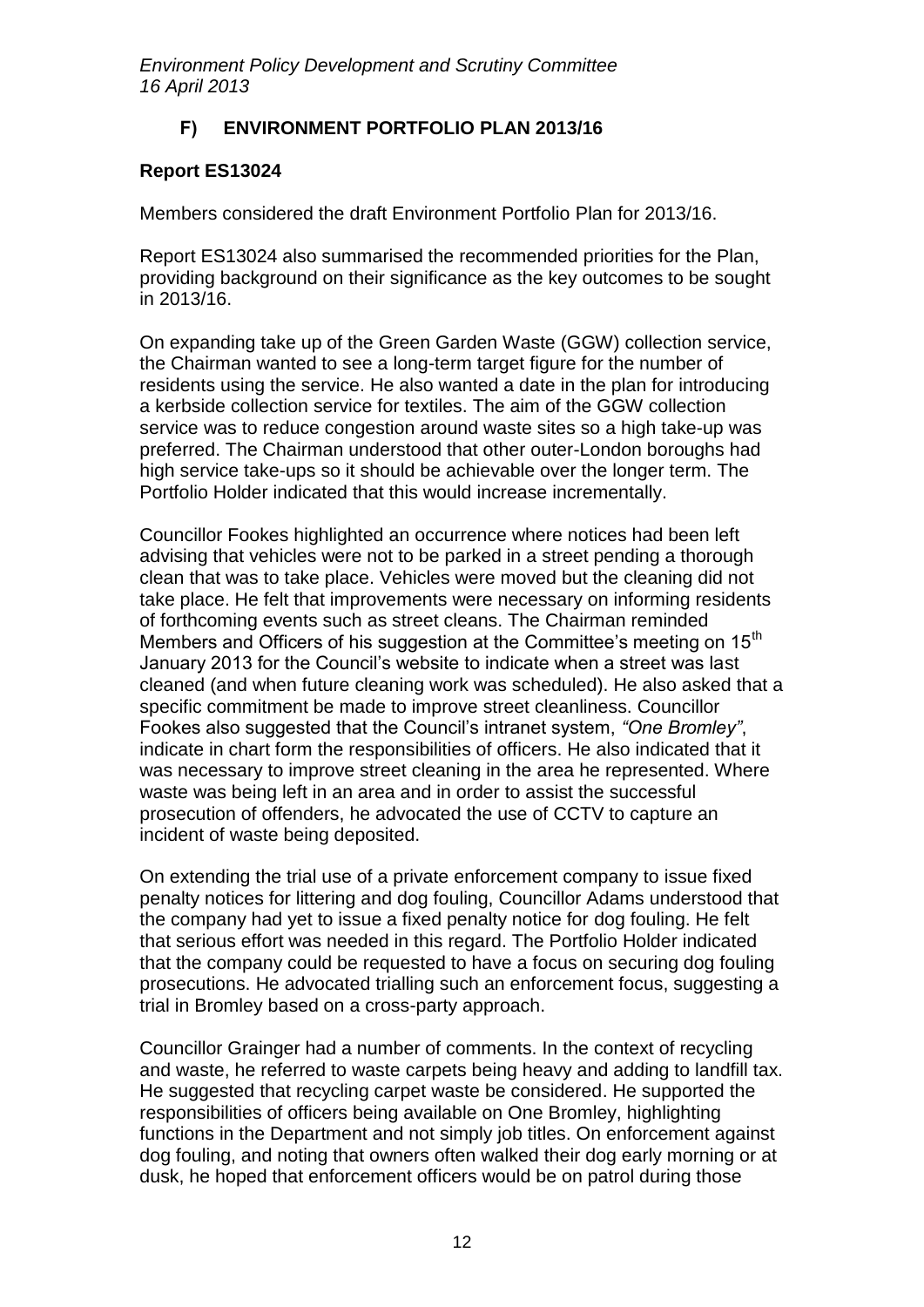# **F) ENVIRONMENT PORTFOLIO PLAN 2013/16**

# **Report ES13024**

Members considered the draft Environment Portfolio Plan for 2013/16.

Report ES13024 also summarised the recommended priorities for the Plan, providing background on their significance as the key outcomes to be sought in 2013/16.

On expanding take up of the Green Garden Waste (GGW) collection service, the Chairman wanted to see a long-term target figure for the number of residents using the service. He also wanted a date in the plan for introducing a kerbside collection service for textiles. The aim of the GGW collection service was to reduce congestion around waste sites so a high take-up was preferred. The Chairman understood that other outer-London boroughs had high service take-ups so it should be achievable over the longer term. The Portfolio Holder indicated that this would increase incrementally.

Councillor Fookes highlighted an occurrence where notices had been left advising that vehicles were not to be parked in a street pending a thorough clean that was to take place. Vehicles were moved but the cleaning did not take place. He felt that improvements were necessary on informing residents of forthcoming events such as street cleans. The Chairman reminded Members and Officers of his suggestion at the Committee's meeting on 15<sup>th</sup> January 2013 for the Council's website to indicate when a street was last cleaned (and when future cleaning work was scheduled). He also asked that a specific commitment be made to improve street cleanliness. Councillor Fookes also suggested that the Council's intranet system, *"One Bromley"*, indicate in chart form the responsibilities of officers. He also indicated that it was necessary to improve street cleaning in the area he represented. Where waste was being left in an area and in order to assist the successful prosecution of offenders, he advocated the use of CCTV to capture an incident of waste being deposited.

On extending the trial use of a private enforcement company to issue fixed penalty notices for littering and dog fouling, Councillor Adams understood that the company had yet to issue a fixed penalty notice for dog fouling. He felt that serious effort was needed in this regard. The Portfolio Holder indicated that the company could be requested to have a focus on securing dog fouling prosecutions. He advocated trialling such an enforcement focus, suggesting a trial in Bromley based on a cross-party approach.

Councillor Grainger had a number of comments. In the context of recycling and waste, he referred to waste carpets being heavy and adding to landfill tax. He suggested that recycling carpet waste be considered. He supported the responsibilities of officers being available on One Bromley, highlighting functions in the Department and not simply job titles. On enforcement against dog fouling, and noting that owners often walked their dog early morning or at dusk, he hoped that enforcement officers would be on patrol during those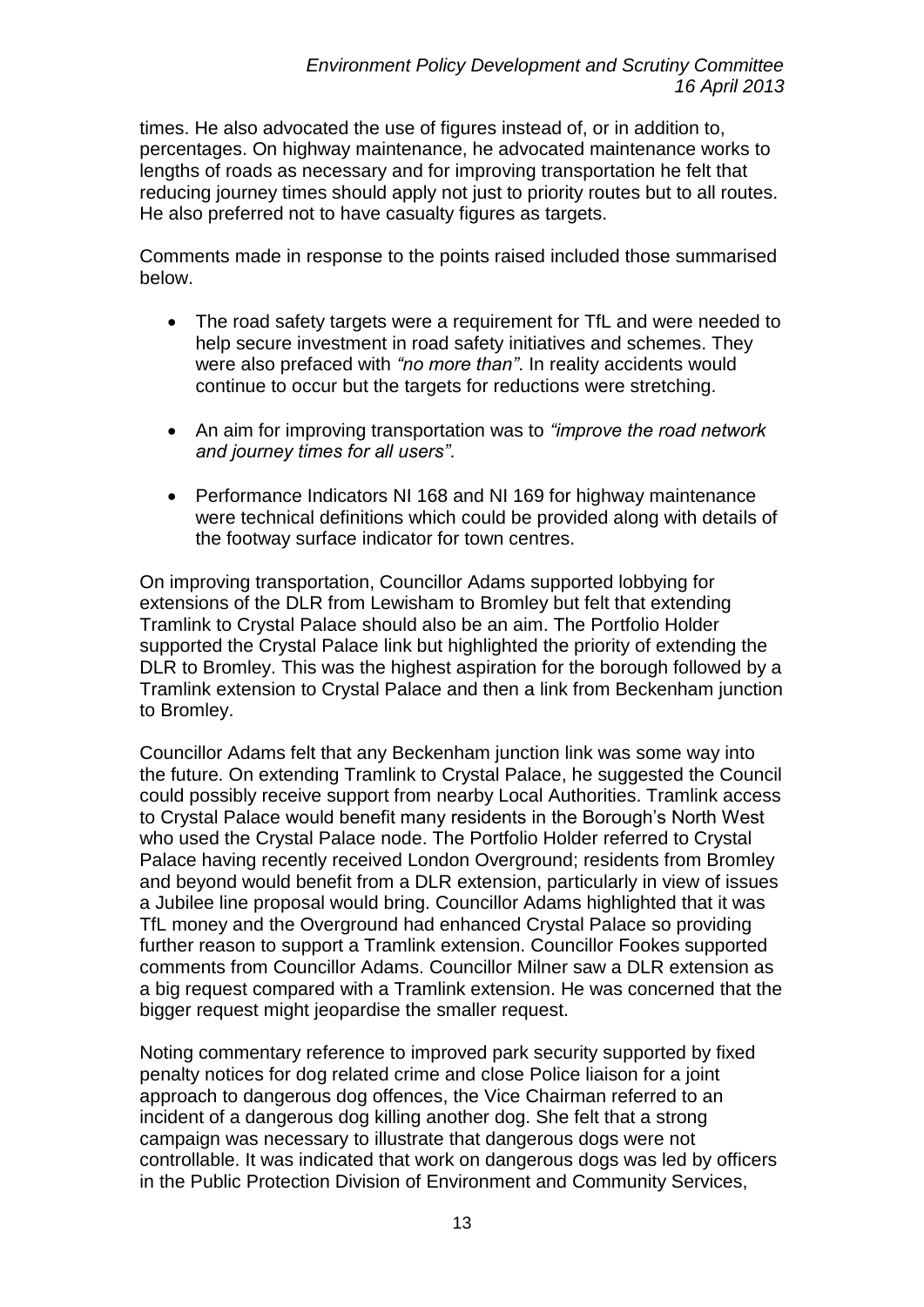times. He also advocated the use of figures instead of, or in addition to, percentages. On highway maintenance, he advocated maintenance works to lengths of roads as necessary and for improving transportation he felt that reducing journey times should apply not just to priority routes but to all routes. He also preferred not to have casualty figures as targets.

Comments made in response to the points raised included those summarised below.

- The road safety targets were a requirement for TfL and were needed to help secure investment in road safety initiatives and schemes. They were also prefaced with *"no more than"*. In reality accidents would continue to occur but the targets for reductions were stretching.
- An aim for improving transportation was to *"improve the road network and journey times for all users"*.
- Performance Indicators NI 168 and NI 169 for highway maintenance were technical definitions which could be provided along with details of the footway surface indicator for town centres.

On improving transportation, Councillor Adams supported lobbying for extensions of the DLR from Lewisham to Bromley but felt that extending Tramlink to Crystal Palace should also be an aim. The Portfolio Holder supported the Crystal Palace link but highlighted the priority of extending the DLR to Bromley. This was the highest aspiration for the borough followed by a Tramlink extension to Crystal Palace and then a link from Beckenham junction to Bromley.

Councillor Adams felt that any Beckenham junction link was some way into the future. On extending Tramlink to Crystal Palace, he suggested the Council could possibly receive support from nearby Local Authorities. Tramlink access to Crystal Palace would benefit many residents in the Borough's North West who used the Crystal Palace node. The Portfolio Holder referred to Crystal Palace having recently received London Overground; residents from Bromley and beyond would benefit from a DLR extension, particularly in view of issues a Jubilee line proposal would bring. Councillor Adams highlighted that it was TfL money and the Overground had enhanced Crystal Palace so providing further reason to support a Tramlink extension. Councillor Fookes supported comments from Councillor Adams. Councillor Milner saw a DLR extension as a big request compared with a Tramlink extension. He was concerned that the bigger request might jeopardise the smaller request.

Noting commentary reference to improved park security supported by fixed penalty notices for dog related crime and close Police liaison for a joint approach to dangerous dog offences, the Vice Chairman referred to an incident of a dangerous dog killing another dog. She felt that a strong campaign was necessary to illustrate that dangerous dogs were not controllable. It was indicated that work on dangerous dogs was led by officers in the Public Protection Division of Environment and Community Services,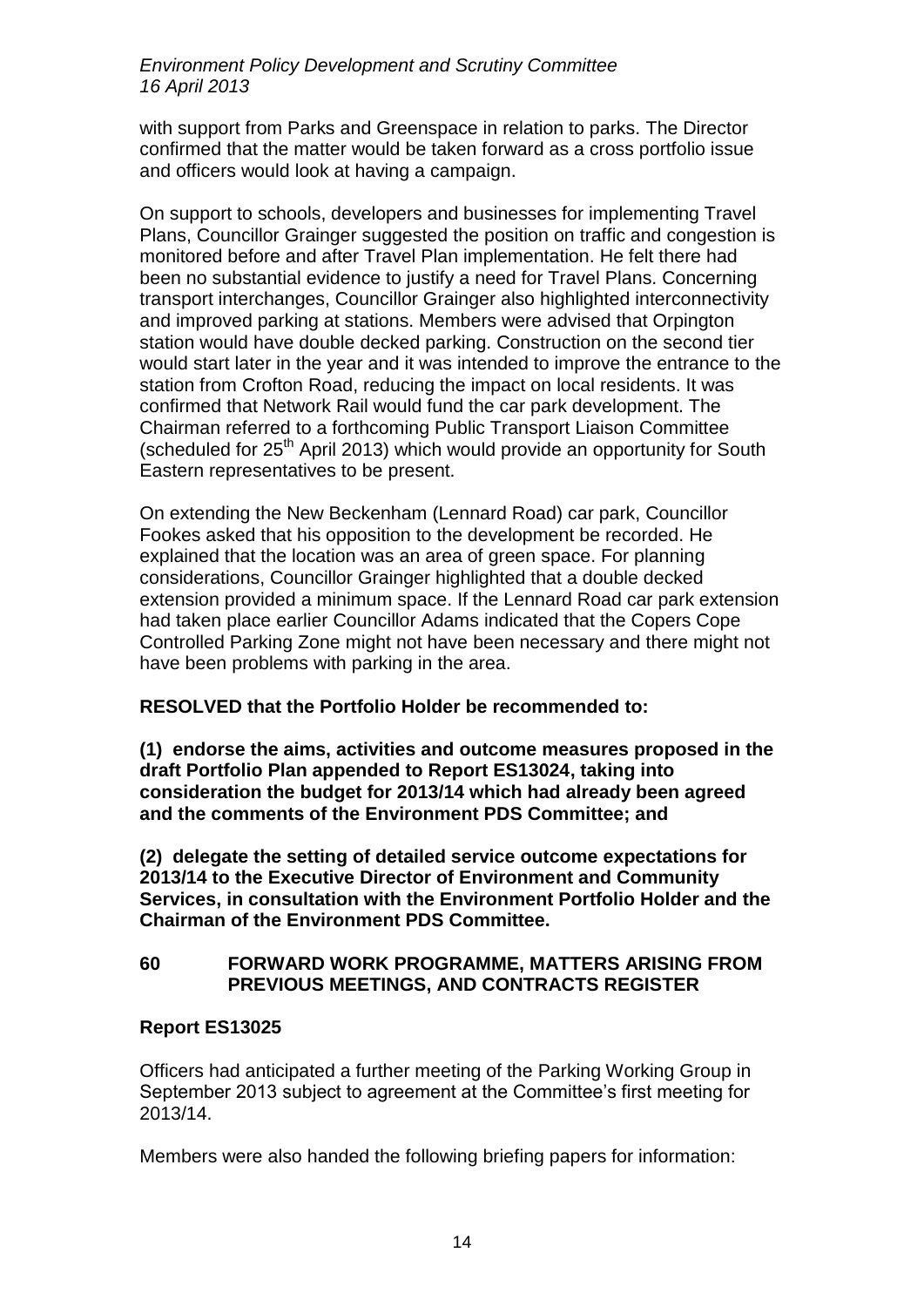with support from Parks and Greenspace in relation to parks. The Director confirmed that the matter would be taken forward as a cross portfolio issue and officers would look at having a campaign.

On support to schools, developers and businesses for implementing Travel Plans, Councillor Grainger suggested the position on traffic and congestion is monitored before and after Travel Plan implementation. He felt there had been no substantial evidence to justify a need for Travel Plans. Concerning transport interchanges, Councillor Grainger also highlighted interconnectivity and improved parking at stations. Members were advised that Orpington station would have double decked parking. Construction on the second tier would start later in the year and it was intended to improve the entrance to the station from Crofton Road, reducing the impact on local residents. It was confirmed that Network Rail would fund the car park development. The Chairman referred to a forthcoming Public Transport Liaison Committee (scheduled for 25<sup>th</sup> April 2013) which would provide an opportunity for South Eastern representatives to be present.

On extending the New Beckenham (Lennard Road) car park, Councillor Fookes asked that his opposition to the development be recorded. He explained that the location was an area of green space. For planning considerations, Councillor Grainger highlighted that a double decked extension provided a minimum space. If the Lennard Road car park extension had taken place earlier Councillor Adams indicated that the Copers Cope Controlled Parking Zone might not have been necessary and there might not have been problems with parking in the area.

# **RESOLVED that the Portfolio Holder be recommended to:**

**(1) endorse the aims, activities and outcome measures proposed in the draft Portfolio Plan appended to Report ES13024, taking into consideration the budget for 2013/14 which had already been agreed and the comments of the Environment PDS Committee; and** 

**(2) delegate the setting of detailed service outcome expectations for 2013/14 to the Executive Director of Environment and Community Services, in consultation with the Environment Portfolio Holder and the Chairman of the Environment PDS Committee.**

### **60 FORWARD WORK PROGRAMME, MATTERS ARISING FROM PREVIOUS MEETINGS, AND CONTRACTS REGISTER**

# **Report ES13025**

Officers had anticipated a further meeting of the Parking Working Group in September 2013 subject to agreement at the Committee's first meeting for 2013/14.

Members were also handed the following briefing papers for information: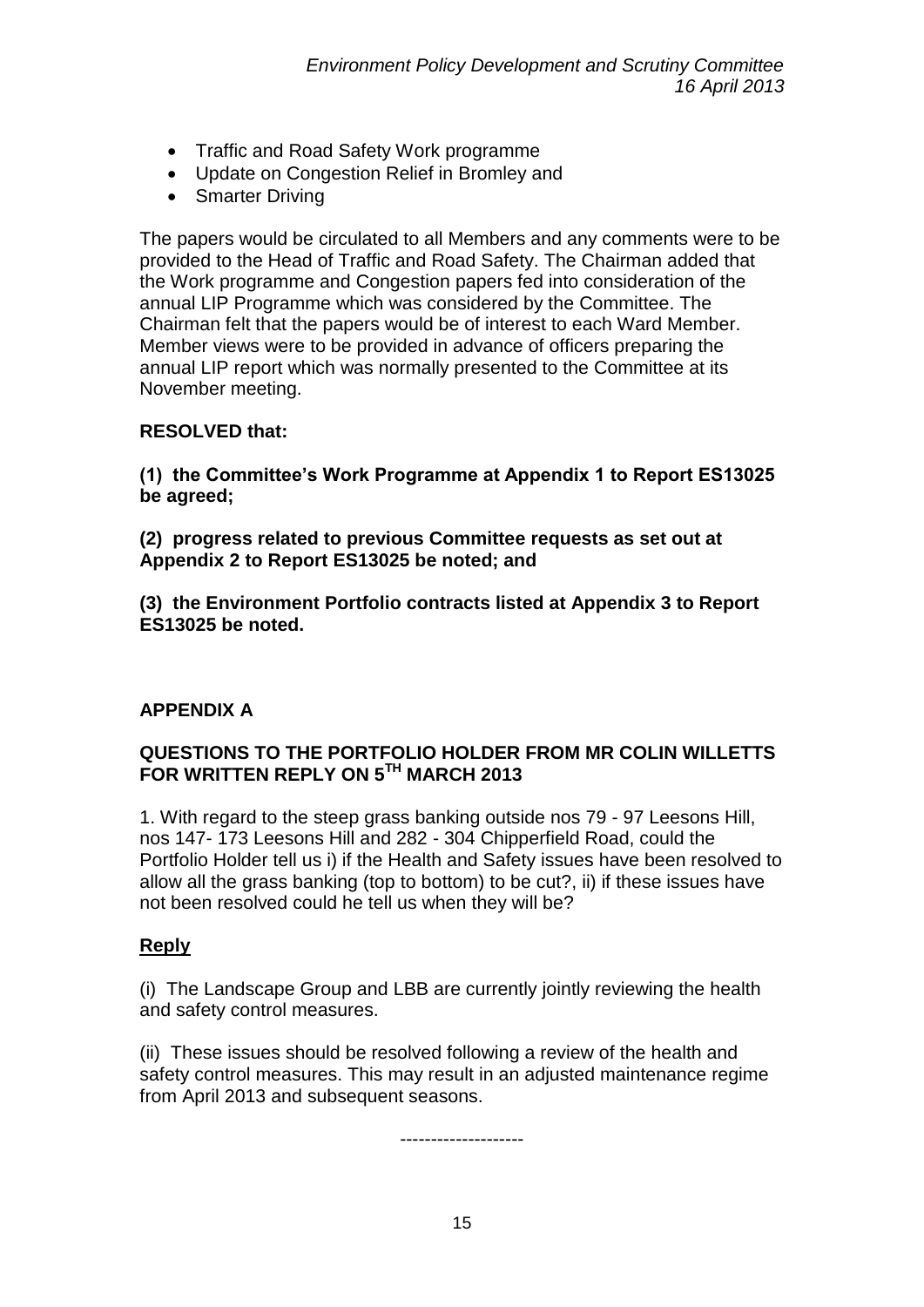- Traffic and Road Safety Work programme
- Update on Congestion Relief in Bromley and
- Smarter Driving

The papers would be circulated to all Members and any comments were to be provided to the Head of Traffic and Road Safety. The Chairman added that the Work programme and Congestion papers fed into consideration of the annual LIP Programme which was considered by the Committee. The Chairman felt that the papers would be of interest to each Ward Member. Member views were to be provided in advance of officers preparing the annual LIP report which was normally presented to the Committee at its November meeting.

# **RESOLVED that:**

**(1) the Committee's Work Programme at Appendix 1 to Report ES13025 be agreed;** 

**(2) progress related to previous Committee requests as set out at Appendix 2 to Report ES13025 be noted; and** 

**(3) the Environment Portfolio contracts listed at Appendix 3 to Report ES13025 be noted.**

# **APPENDIX A**

### **QUESTIONS TO THE PORTFOLIO HOLDER FROM MR COLIN WILLETTS FOR WRITTEN REPLY ON 5TH MARCH 2013**

1. With regard to the steep grass banking outside nos 79 - 97 Leesons Hill, nos 147- 173 Leesons Hill and 282 - 304 Chipperfield Road, could the Portfolio Holder tell us i) if the Health and Safety issues have been resolved to allow all the grass banking (top to bottom) to be cut?, ii) if these issues have not been resolved could he tell us when they will be?

# **Reply**

(i) The Landscape Group and LBB are currently jointly reviewing the health and safety control measures.

(ii) These issues should be resolved following a review of the health and safety control measures. This may result in an adjusted maintenance regime from April 2013 and subsequent seasons.

--------------------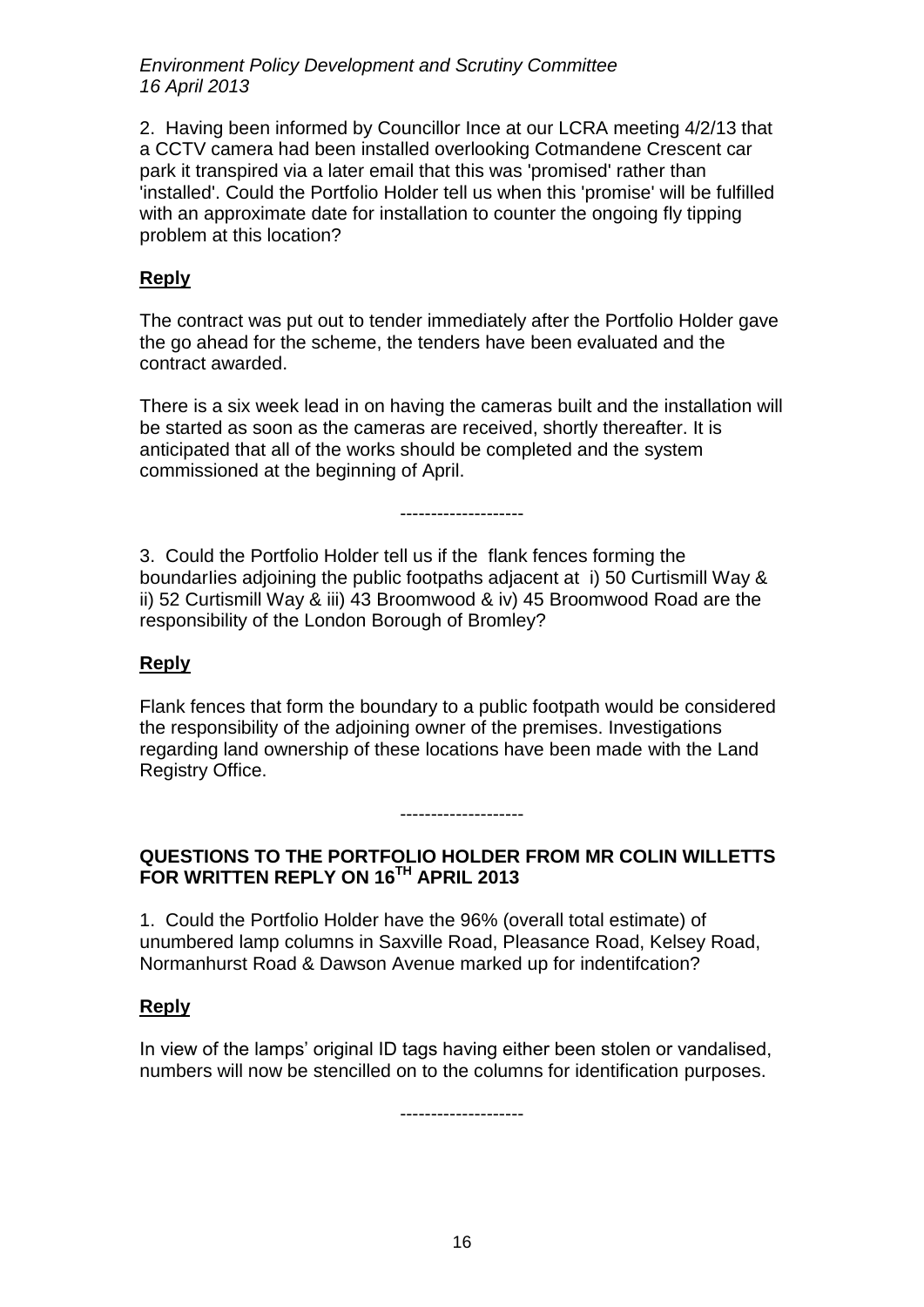2. Having been informed by Councillor Ince at our LCRA meeting 4/2/13 that a CCTV camera had been installed overlooking Cotmandene Crescent car park it transpired via a later email that this was 'promised' rather than 'installed'. Could the Portfolio Holder tell us when this 'promise' will be fulfilled with an approximate date for installation to counter the ongoing fly tipping problem at this location?

# **Reply**

The contract was put out to tender immediately after the Portfolio Holder gave the go ahead for the scheme, the tenders have been evaluated and the contract awarded.

There is a six week lead in on having the cameras built and the installation will be started as soon as the cameras are received, shortly thereafter. It is anticipated that all of the works should be completed and the system commissioned at the beginning of April.

--------------------

3. Could the Portfolio Holder tell us if the flank fences forming the boundarIies adjoining the public footpaths adjacent at i) 50 Curtismill Way & ii) 52 Curtismill Way & iii) 43 Broomwood & iv) 45 Broomwood Road are the responsibility of the London Borough of Bromley?

### **Reply**

Flank fences that form the boundary to a public footpath would be considered the responsibility of the adjoining owner of the premises. Investigations regarding land ownership of these locations have been made with the Land Registry Office.

#### --------------------

### **QUESTIONS TO THE PORTFOLIO HOLDER FROM MR COLIN WILLETTS FOR WRITTEN REPLY ON 16TH APRIL 2013**

1. Could the Portfolio Holder have the 96% (overall total estimate) of unumbered lamp columns in Saxville Road, Pleasance Road, Kelsey Road, Normanhurst Road & Dawson Avenue marked up for indentifcation?

#### **Reply**

In view of the lamps' original ID tags having either been stolen or vandalised, numbers will now be stencilled on to the columns for identification purposes.

--------------------